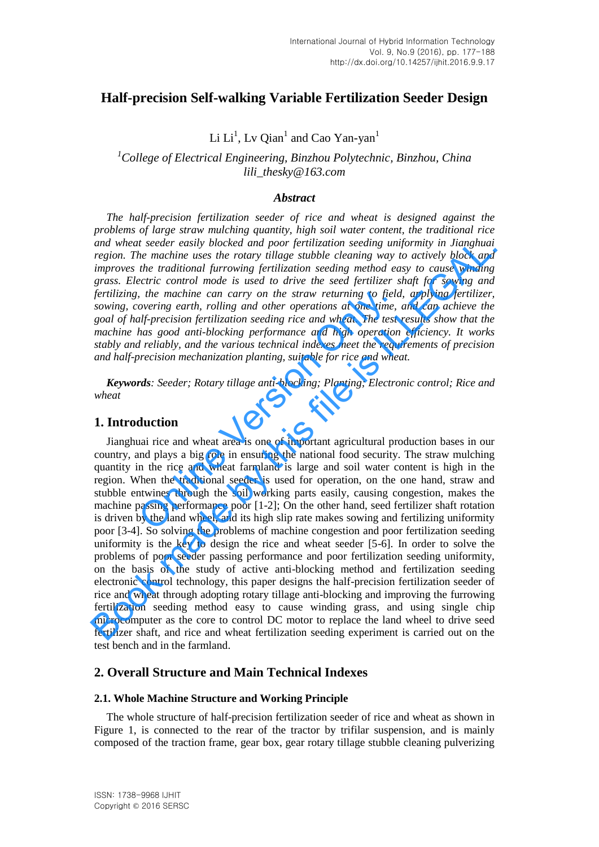# **Half-precision Self-walking Variable Fertilization Seeder Design**

Li  $Li<sup>1</sup>$ , Lv Qian<sup>1</sup> and Cao Yan-yan<sup>1</sup>

# *<sup>1</sup>College of Electrical Engineering, Binzhou Polytechnic, Binzhou, China lili\_thesky@163.com*

### *Abstract*

*The half-precision fertilization seeder of rice and wheat is designed against the problems of large straw mulching quantity, high soil water content, the traditional rice and wheat seeder easily blocked and poor fertilization seeding uniformity in Jianghuai region. The machine uses the rotary tillage stubble cleaning way to actively block and improves the traditional furrowing fertilization seeding method easy to cause winding grass. Electric control mode is used to drive the seed fertilizer shaft for sowing and fertilizing, the machine can carry on the straw returning to field, applying fertilizer, sowing, covering earth, rolling and other operations at one time, and can achieve the goal of half-precision fertilization seeding rice and wheat. The test results show that the machine has good anti-blocking performance and high operation efficiency. It works stably and reliably, and the various technical indexes meet the requirements of precision and half-precision mechanization planting, suitable for rice and wheat.* 

*Keywords: Seeder; Rotary tillage anti-blocking; Planting; Electronic control; Rice and wheat* 

### **1. Introduction**

Jianghuai rice and wheat area is one of important agricultural production bases in our country, and plays a big role in ensuring the national food security. The straw mulching quantity in the rice and wheat farmland is large and soil water content is high in the region. When the traditional seeder is used for operation, on the one hand, straw and stubble entwines through the soil working parts easily, causing congestion, makes the machine passing performance poor [1-2]; On the other hand, seed fertilizer shaft rotation is driven by the land wheel, and its high slip rate makes sowing and fertilizing uniformity poor [3-4]. So solving the problems of machine congestion and poor fertilization seeding uniformity is the key to design the rice and wheat seeder [5-6]. In order to solve the problems of poor seeder passing performance and poor fertilization seeding uniformity, on the basis of the study of active anti-blocking method and fertilization seeding electronic control technology, this paper designs the half-precision fertilization seeder of rice and wheat through adopting rotary tillage anti-blocking and improving the furrowing fertilization seeding method easy to cause winding grass, and using single chip microcomputer as the core to control DC motor to replace the land wheel to drive seed fertilizer shaft, and rice and wheat fertilization seeding experiment is carried out on the test bench and in the farmland. *s*, the machine can carry on the straw returning to field<br>overing earth, rolling and other operations at one time,<br>alf-precision fertilization seeding rice and wheat. The test<br>has good anti-blocking performance and high and wheat aseder easily blocked and poor fertilization seeding uniformity in Linapshual<br>region. The machine uses the rotary tillage stubble cleaning way to actively block and<br>improves the traditional furrowing fertilizati

## **2. Overall Structure and Main Technical Indexes**

## **2.1. Whole Machine Structure and Working Principle**

The whole structure of half-precision fertilization seeder of rice and wheat as shown in Figure 1, is connected to the rear of the tractor by trifilar suspension, and is mainly composed of the traction frame, gear box, gear rotary tillage stubble cleaning pulverizing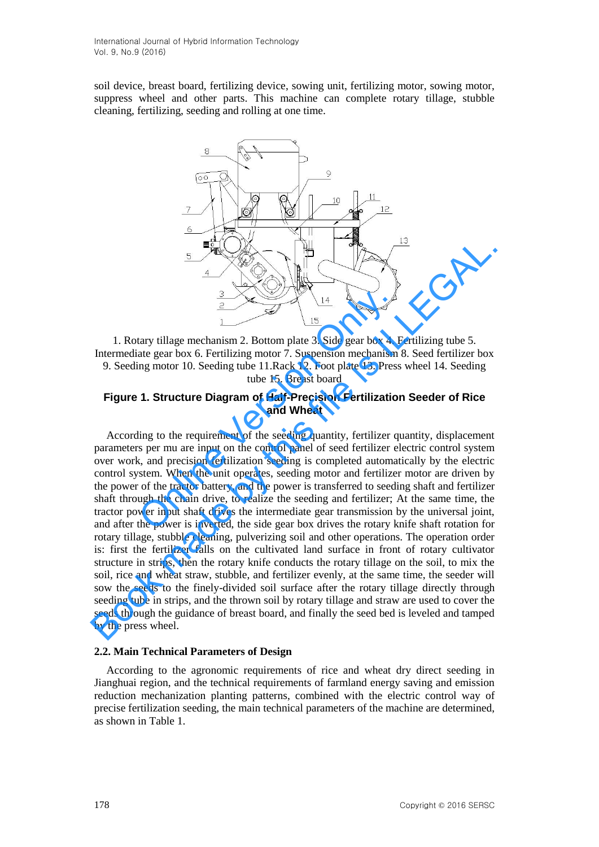soil device, [breast](file:///C:/Users/l/AppData/Local/Yodao/DeskDict/frame/20160111194131/javascript:void(0);) [board,](file:///C:/Users/l/AppData/Local/Yodao/DeskDict/frame/20160111194131/javascript:void(0);) fertilizing device, sowing unit, fertilizing motor, sowing motor, suppress wheel and other parts. This machine can complete rotary tillage, stubble cleaning, fertilizing, seeding and rolling at one time.



1. Rotary tillage mechanism 2. Bottom plate 3. Side gear box 4. Fertilizing tube 5. Intermediate gear box 6. Fertilizing motor 7. Suspension mechanism 8. Seed fertilizer box 9. Seeding motor 10. Seeding tube 11.Rack 12. Foot plate 13. Press wheel 14. Seeding tube 15. Breast board

## **Figure 1. Structure Diagram of Half-Precision Fertilization Seeder of Rice and Wheat**

According to the requirement of the seeding quantity, fertilizer quantity, displacement parameters per mu are input on the control panel of seed fertilizer electric control system over work, and precision fertilization seeding is completed automatically by the electric control system. When the unit operates, seeding motor and fertilizer motor are driven by the power of the tractor battery, and the power is transferred to seeding shaft and fertilizer shaft through the chain drive, to realize the seeding and fertilizer; At the same time, the tractor power input shaft drives the intermediate gear transmission by the universal joint, and after the power is inverted, the side gear box drives the rotary knife shaft rotation for rotary tillage, stubble cleaning, pulverizing soil and other operations. The operation order is: first the fertilizer falls on the cultivated land surface in front of rotary cultivator structure in strips, then the rotary knife conducts the rotary tillage on the soil, to mix the soil, rice and wheat straw, stubble, and fertilizer evenly, at the same time, the seeder will sow the seeds to the finely-divided soil surface after the rotary tillage directly through seeding tube in strips, and the thrown soil by rotary tillage and straw are used to cover the seeds through the guidance of breast board, and finally the seed bed is leveled and tamped by the press wheel. Online Version Only. **Book may be the tract of the filtrest and the power is the sead of the search of the sealth and the search of the search of the search of the search of**  $\frac{14}{100}$ **. Seeding motor 10. Seeding motor 7. Suspension mechanis** 

## **2.2. Main Technical Parameters of Design**

According to the agronomic requirements of rice and wheat dry direct seeding in Jianghuai region, and the technical requirements of farmland energy saving and emission reduction mechanization planting patterns, combined with the electric control way of precise fertilization seeding, the main technical parameters of the machine are determined, as shown in Table 1.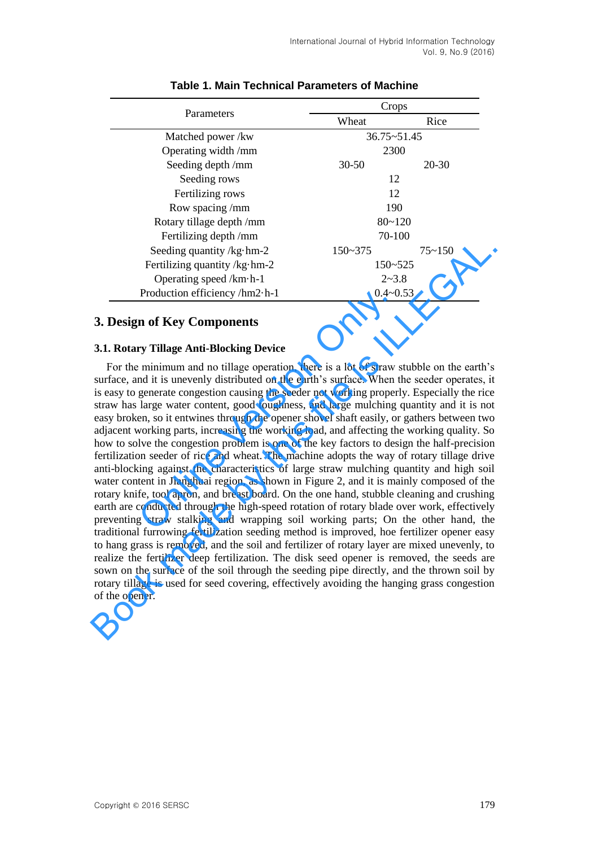| Parameters                             | Crops           |            |  |  |  |
|----------------------------------------|-----------------|------------|--|--|--|
|                                        | Wheat           | Rice       |  |  |  |
| Matched power /kw                      | $36.75 - 51.45$ |            |  |  |  |
| Operating width /mm                    | 2300            |            |  |  |  |
| Seeding depth /mm                      | $30 - 50$       | $20 - 30$  |  |  |  |
| Seeding rows                           | 12              |            |  |  |  |
| Fertilizing rows                       | 12              |            |  |  |  |
| Row spacing/mm                         | 190             |            |  |  |  |
| Rotary tillage depth /mm               | $80 - 120$      |            |  |  |  |
| Fertilizing depth /mm                  | 70-100          |            |  |  |  |
| Seeding quantity / $kg \cdot hm-2$     | $150 - 375$     | $75 - 150$ |  |  |  |
| Fertilizing quantity / $kg \cdot hm-2$ | $150 - 525$     |            |  |  |  |
| Operating speed / $km\cdot h-1$        | $2 - 3.8$       |            |  |  |  |
| Production efficiency /hm2·h-1         | $0.4 - 0.53$    |            |  |  |  |

# **Table 1. Main Technical Parameters of Machine**

# **3. Design of Key Components**

### **3.1. Rotary Tillage Anti-Blocking Device**

For the minimum and no tillage operation, there is a lot of straw stubble on the earth's surface, and it is unevenly distributed on the earth's surface. When the seeder operates, it is easy to generate congestion causing the seeder not working properly. Especially the rice straw has large water content, good toughness, and large mulching quantity and it is not easy broken, so it entwines through the opener shovel shaft easily, or gathers between two adjacent working parts, increasing the working load, and affecting the working quality. So how to solve the congestion problem is one of the key factors to design the half-precision fertilization seeder of rice and wheat. The machine adopts the way of rotary tillage drive anti-blocking against the characteristics of large straw mulching quantity and high soil water content in Jianghuai region, as shown in Figure 2, and it is mainly composed of the rotary knife, tool apron, and breast board. On the one hand, stubble cleaning and crushing earth are conducted through the high-speed rotation of rotary blade over work, effectively preventing straw stalking and wrapping soil working parts; On the other hand, the traditional furrowing fertilization seeding method is improved, hoe fertilizer opener easy to hang grass is removed, and the soil and fertilizer of rotary layer are mixed unevenly, to realize the fertilizer deep fertilization. The disk seed opener is removed, the seeds are sown on the surface of the soil through the seeding pipe directly, and the thrown soil by rotary tillage is used for seed covering, effectively avoiding the hanging grass congestion of the opener. **Production efficiency**/hm2-h-1 0.4~0<br> **n of Key Components**<br> **ry Tillage Anti-Blocking Device**<br> **r** minimum and no tillage operation, there is a lot of straw<br>
and it is unevenly distributed on the earth's surface. When t Seeding quantity  $k_B$ -hm-2<br>
Seeding quantity  $k_B$ -hm-2<br>
Fertilizing quantity  $k_B$ -hm-2<br>
Production efficiency  $\lambda$ m-2-h-1<br>
Production efficiency  $\lambda$ m-2-h-1<br>
Production efficiency  $\lambda$ m-2-h-1<br>
Production efficiency  $\lambda$ m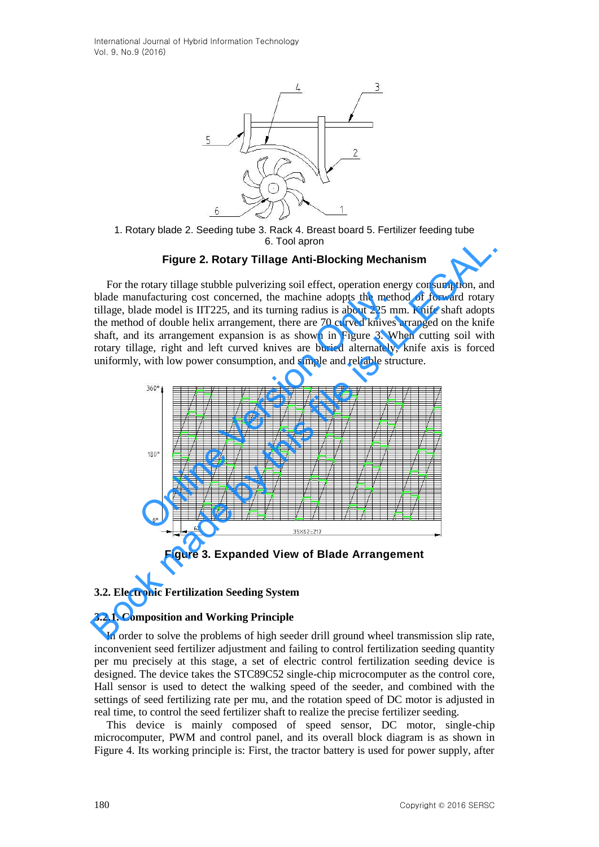International Journal of Hybrid Information Technology Vol. 9, No.9 (2016)



1. Rotary blade 2. Seeding tube 3. Rack 4. Breast board 5. Fertilizer feeding tube 6. Tool apron

## **Figure 2. Rotary Tillage Anti-Blocking Mechanism**

For the rotary tillage stubble pulverizing soil effect, operation energy consumption, and blade manufacturing cost concerned, the machine adopts the method of forward rotary tillage, blade model is IIT225, and its turning radius is about 225 mm. Knife shaft adopts the method of double helix arrangement, there are 70 curved knives arranged on the knife shaft, and its arrangement expansion is as shown in Figure 3. When cutting soil with rotary tillage, right and left curved knives are buried alternately, knife axis is forced uniformly, with low power consumption, and simple and reliable structure.



**Figure 3. Expanded View of Blade Arrangement** 

#### **3.2. Electronic Fertilization Seeding System**

#### **3.2.1. Composition and Working Principle**

In order to solve the problems of high seeder drill ground wheel transmission slip rate, inconvenient seed fertilizer adjustment and failing to control fertilization seeding quantity per mu precisely at this stage, a set of electric control fertilization seeding device is designed. The device takes the STC89C52 single-chip microcomputer as the control core, Hall sensor is used to detect the walking speed of the seeder, and combined with the settings of seed fertilizing rate per mu, and the rotation speed of DC motor is adjusted in real time, to control the seed fertilizer shaft to realize the precise fertilizer seeding.

This device is mainly composed of speed sensor, DC motor, single-chip microcomputer, PWM and control panel, and its overall block diagram is as shown in Figure 4. Its working principle is: First, the tractor battery is used for power supply, after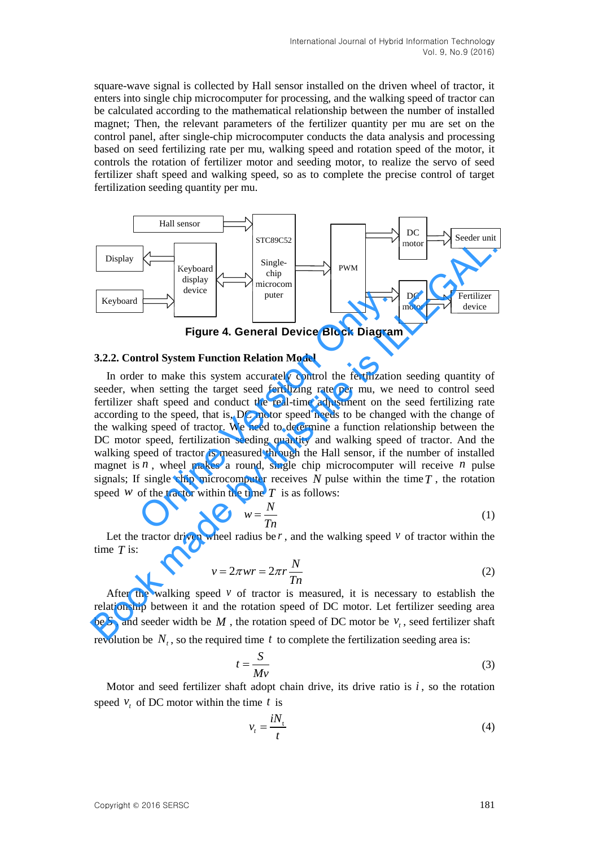square-wave signal is collected by Hall sensor installed on the driven wheel of tractor, it enters into single chip microcomputer for processing, and the walking speed of tractor can be calculated according to the mathematical relationship between the number of installed magnet; Then, the relevant parameters of the fertilizer quantity per mu are set on the control panel, after single-chip microcomputer conducts the data analysis and processing based on seed fertilizing rate per mu, walking speed and rotation speed of the motor, it controls the rotation of fertilizer motor and seeding motor, to realize the servo of seed fertilizer shaft speed and walking speed, so as to complete the precise control of target fertilization seeding quantity per mu.



**Figure 4. General Device Block Diagram** 

#### **3.2.2. Control System Function Relation Model**

In order to make this system accurately control the fertilization seeding quantity of seeder, when setting the target seed fertilizing rate per mu, we need to control seed fertilizer shaft speed and conduct the real-time adjustment on the seed fertilizing rate according to the speed, that is, DC motor speed needs to be changed with the change of the walking speed of tractor. We need to determine a function relationship between the DC motor speed, fertilization seeding quantity and walking speed of tractor. And the walking speed of tractor is measured through the Hall sensor, if the number of installed magnet is  $n$ , wheel makes a round, single chip microcomputer will receive  $n$  pulse signals; If single chip microcomputer receives  $N$  pulse within the time  $T$ , the rotation speed  $W$  of the tractor within the time  $T$  is as follows: **Example 12** Figure 4. General Device Block Diagram<br>
Figure 4. General Device Block Diagram<br>
antrol System Function Relation Model<br>
Figure 4. General Device Block Diagram<br>
then setting the target seed fertilizing rate per **Example 1**<br>
Explored  $\frac{1}{\text{Weyband}}$ <br>
Explored  $\frac{1}{\text{Simplley}}$ <br>
The microcomple of the pure  $\frac{1}{\text{Weyband}}$ <br>
The pure  $\frac{1}{\text{Weyل}}$ <br>
The pure  $\frac{1}{\text{Weyl}}$ <br>
The pure  $\frac{1}{\text{Weyl}}$ <br>
The pure  $\frac{1}{\text{Weyl}}$ <br>
The model in o

$$
w = \frac{N}{Tn} \tag{1}
$$

Let the tractor driven wheel radius be  $r$ , and the walking speed  $v$  of tractor within the time *T* is:

$$
v = 2\pi wr = 2\pi r \frac{N}{Tn}
$$
 (2)

After the walking speed  $\nu$  of tractor is measured, it is necessary to establish the relationship between it and the rotation speed of DC motor. Let fertilizer seeding area be S, and seeder width be  $M$ , the rotation speed of DC motor be  $v_t$ , seed fertilizer shaft revolution be  $N_t$ , so the required time t to complete the fertilization seeding area is:

$$
t = \frac{S}{Mv} \tag{3}
$$

Motor and seed fertilizer shaft adopt [chain](file:///C:/Users/l/AppData/Local/Yodao/DeskDict/frame/20160111194131/javascript:void(0);) [drive,](file:///C:/Users/l/AppData/Local/Yodao/DeskDict/frame/20160111194131/javascript:void(0);) its drive ratio is  $i$ , so the rotation speed  $v_t$  of DC motor within the time t is

$$
v_t = \frac{iN_t}{t} \tag{4}
$$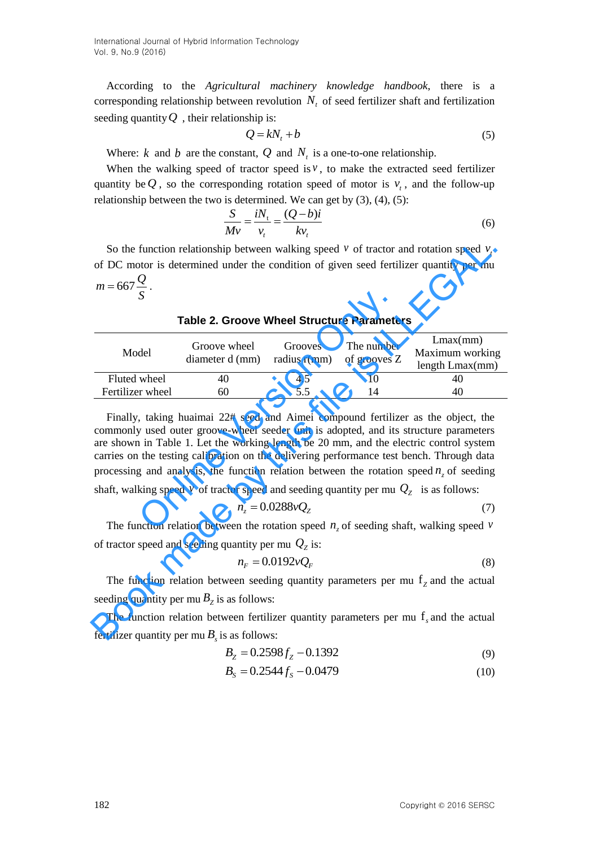According to the *Agricultural machinery knowledge handbook*, there is a corresponding relationship between revolution  $N<sub>t</sub>$  of seed fertilizer shaft and fertilization seeding quantity *Q* , their relationship is:

$$
Q = kN_t + b \tag{5}
$$

Where:  $k$  and  $b$  are the constant,  $Q$  and  $N_t$  is a one-to-one relationship.

When the walking speed of tractor speed is  $v$ , to make the [extracted](file:///C:/Users/l/AppData/Local/Yodao/DeskDict/frame/20160111194131/javascript:void(0);) seed fertilizer quantity be Q, so the corresponding rotation speed of motor is  $v_t$ , and the follow-up relationship between the two is determined. We can get by (3), (4), (5):

$$
\frac{S}{Mv} = \frac{iN_{\rm t}}{v_{\rm t}} = \frac{(Q-b)i}{kv_{\rm t}}\tag{6}
$$

So the function relationship between walking speed  $\nu$  of tractor and rotation speed  $\nu$ of DC motor is determined under the condition of given seed fertilizer quantity per mu  $m = 667 \frac{Q}{q}$ *S*  $= 667 \frac{\mathcal{Q}}{q}$ .

| Model            | Groove wheel<br>diameter d (mm) | Grooves<br>radius $r(mm)$ | The number<br>of grooves Z | Lmax(mm)<br>Maximum working<br>length Lmax(mm) |
|------------------|---------------------------------|---------------------------|----------------------------|------------------------------------------------|
| Fluted wheel     | 40                              | 4.5                       |                            | 40                                             |
| Fertilizer wheel | 60                              | 55                        | 14                         | 40                                             |

**Table 2. Groove Wheel Structure Parameters** 

Finally, taking huaimai 22# seed and Aimei compound fertilizer as the object, the commonly used outer groove-wheel seeder unit is adopted, and its structure parameters are shown in Table 1. Let the working length be 20 mm, and the electric control system carries on the testing calibration on the delivering performance test bench. Through data processing and analysis, the function relation between the rotation speed  $n<sub>z</sub>$  of seeding shaft, walking speed  $\nu$  of tractor speed and seeding quantity per mu  $Q_z$  is as follows: **Table 2. Groove Wheel Structure Paramete**<br>
del Groove wheel Grooves The number<br>
diameter d (mm) radius r(mm) of grooves Z<br>
wheel 40 4.5 10<br>
on 5.5 14<br>
time wheel 60 5.5 14<br>
time wheel 60 5.5 14<br>
time was about the star o So the function relationship between walking speed v of tractor and rotation speed v,<br>of DC motor is determined under the condition of given seed fertilizer quantity per mu<br>  $m = 667 \frac{Q}{S}$ .<br>
Table 2. Groove Wheel Structu

$$
n_z = 0.0288vQ_z \tag{7}
$$

The function relation between the rotation speed  $n_z$  of seeding shaft, walking speed  $\nu$ of tractor speed and seeding quantity per mu  $Q_z$  is:

$$
n_F = 0.0192 \nu Q_F \tag{8}
$$

The function relation between seeding quantity parameters per mu f<sub>z</sub> and the actual seeding quantity per mu  $B_z$  is as follows:

The function relation between fertilizer quantity parameters per mu f *s* and the actual fertilizer quantity per mu  $B_s$  is as follows:

$$
B_{Z} = 0.2598 f_{Z} - 0.1392
$$
\n(9)

$$
B_{s} = 0.2544 f_{s} - 0.0479
$$
 (10)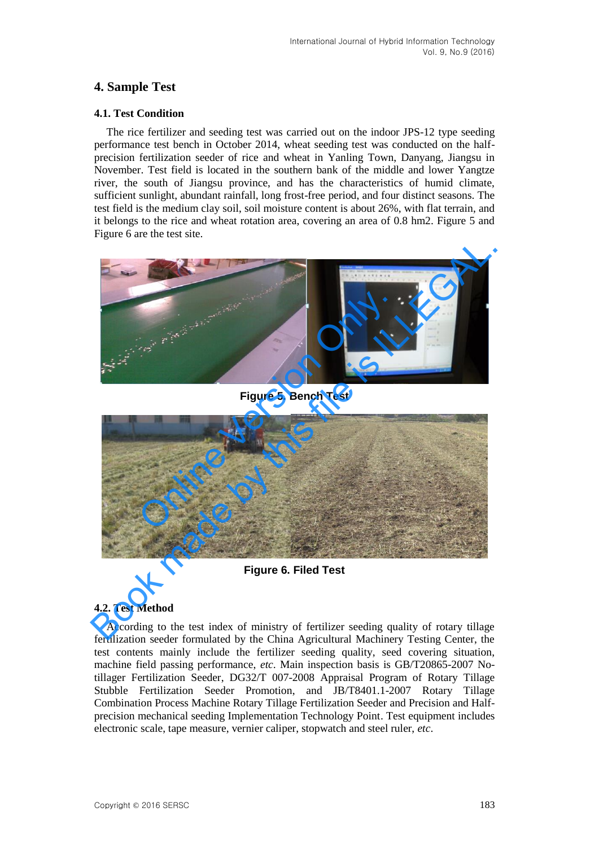# **4. Sample Test**

# **4.1. Test Condition**

The rice fertilizer and seeding test was carried out on the indoor JPS-12 type seeding performance test bench in October 2014, wheat seeding test was conducted on the halfprecision fertilization seeder of rice and wheat in Yanling Town, Danyang, Jiangsu in November. Test field is located in the southern bank of the middle and lower Yangtze river, the south of Jiangsu province, and has the characteristics of humid climate, sufficient sunlight, abundant rainfall, long frost-free period, and four distinct seasons. The test field is the medium clay soil, soil moisture content is about 26%, with flat terrain, and it belongs to the rice and wheat rotation area, covering an area of 0.8 hm2. Figure 5 and Figure 6 are the test site.



**Figure 5. Bench Test** 



**Figure 6. Filed Test** 

## **4.2. Test Method**

According to the test index of ministry of fertilizer seeding quality of rotary tillage fertilization seeder formulated by the China Agricultural Machinery Testing Center, the test contents mainly include the fertilizer seeding quality, seed covering situation, machine field passing performance, *etc*. Main inspection basis is GB/T20865-2007 Notillager Fertilization Seeder, DG32/T 007-2008 Appraisal Program of Rotary Tillage Stubble Fertilization Seeder Promotion, and JB/T8401.1-2007 Rotary Tillage Combination Process Machine Rotary Tillage Fertilization Seeder and Precision and Halfprecision mechanical seeding Implementation Technology Point. Test equipment includes electronic scale, tape measure, vernier caliper, stopwatch and steel ruler, *etc*.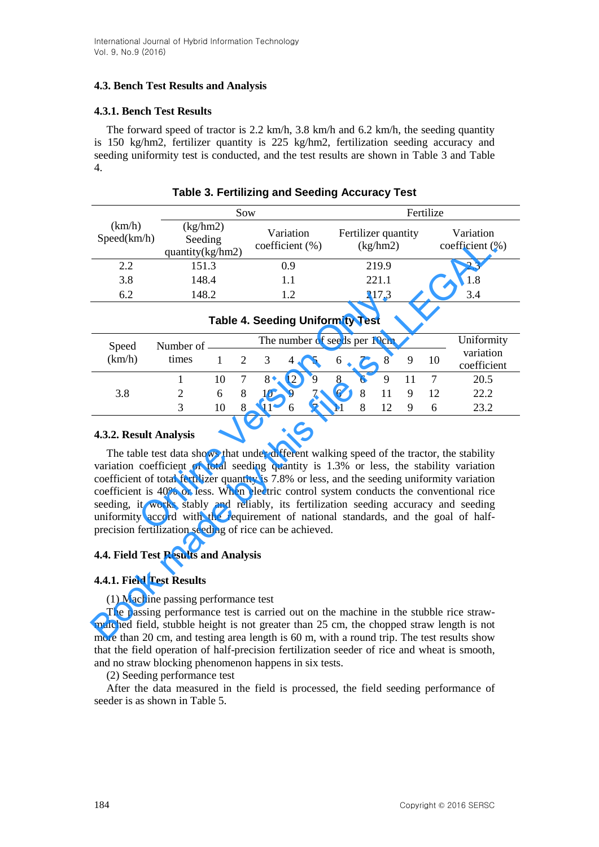# **4.3. Bench Test Results and Analysis**

# **4.3.1. Bench Test Results**

The forward speed of tractor is 2.2 km/h, 3.8 km/h and 6.2 km/h, the seeding quantity is 150 kg/hm2, fertilizer quantity is 225 kg/hm2, fertilization seeding accuracy and seeding uniformity test is conducted, and the test results are shown in Table 3 and Table 4.

|                       | Sow                                        |                              | Fertilize                       |                              |  |
|-----------------------|--------------------------------------------|------------------------------|---------------------------------|------------------------------|--|
| (km/h)<br>Speed(km/h) | (kg/hm2)<br>Seeding<br>quantity $(kg/hm2)$ | Variation<br>coefficient (%) | Fertilizer quantity<br>(kg/hm2) | Variation<br>coefficient (%) |  |
| 2.2                   | 151.3                                      | 0.9                          | 219.9                           | 2.3                          |  |
| 3.8                   | 148.4                                      | 1.1                          | 221.1                           | 1.8                          |  |
| 6.2                   | 148.2                                      | 1.2                          | 217.3                           | 3.4                          |  |

**Table 3. Fertilizing and Seeding Accuracy Test**

| Specu(km/n)                                                                                                                                                                                                                                                                                                                                                                                                                                                                                                                                                                                                                                               | Seeding<br>quantity(kg/hm2)                                                                                                                                                                                                                                                                                             |              |                | coefficient (%) |                              |   |       |   | (kg/hm2) |     |    | coefficient (%)          |
|-----------------------------------------------------------------------------------------------------------------------------------------------------------------------------------------------------------------------------------------------------------------------------------------------------------------------------------------------------------------------------------------------------------------------------------------------------------------------------------------------------------------------------------------------------------------------------------------------------------------------------------------------------------|-------------------------------------------------------------------------------------------------------------------------------------------------------------------------------------------------------------------------------------------------------------------------------------------------------------------------|--------------|----------------|-----------------|------------------------------|---|-------|---|----------|-----|----|--------------------------|
| 2.2                                                                                                                                                                                                                                                                                                                                                                                                                                                                                                                                                                                                                                                       |                                                                                                                                                                                                                                                                                                                         | 151.3        |                | 0.9             |                              |   | 219.9 |   |          | 2.3 |    |                          |
| 3.8                                                                                                                                                                                                                                                                                                                                                                                                                                                                                                                                                                                                                                                       | 148.4                                                                                                                                                                                                                                                                                                                   |              | 1.1            |                 |                              |   | 221.1 |   |          | 1.8 |    |                          |
| 6.2                                                                                                                                                                                                                                                                                                                                                                                                                                                                                                                                                                                                                                                       | 148.2                                                                                                                                                                                                                                                                                                                   |              |                |                 | 1.2                          |   |       |   | 217.3    |     |    | 3.4                      |
| <b>Table 4. Seeding Uniformity Test</b>                                                                                                                                                                                                                                                                                                                                                                                                                                                                                                                                                                                                                   |                                                                                                                                                                                                                                                                                                                         |              |                |                 |                              |   |       |   |          |     |    |                          |
| Speed                                                                                                                                                                                                                                                                                                                                                                                                                                                                                                                                                                                                                                                     | Number of -                                                                                                                                                                                                                                                                                                             |              |                |                 | The number of seeds per 10cm |   |       |   |          |     |    | Uniformity               |
| (km/h)                                                                                                                                                                                                                                                                                                                                                                                                                                                                                                                                                                                                                                                    | times                                                                                                                                                                                                                                                                                                                   | $\mathbf{1}$ | $\overline{2}$ | 3               | $\overline{4}$               | 5 | 6     | 7 | 8        | 9   | 10 | variation<br>coefficient |
|                                                                                                                                                                                                                                                                                                                                                                                                                                                                                                                                                                                                                                                           | $\mathbf{1}$                                                                                                                                                                                                                                                                                                            | 10           | 7              | 8               | 12                           | 9 | 8     | 6 | 9        | 11  | 7  | 20.5                     |
| 3.8                                                                                                                                                                                                                                                                                                                                                                                                                                                                                                                                                                                                                                                       | $\overline{2}$                                                                                                                                                                                                                                                                                                          | 6            | 8              | 10              | 9                            | 7 | 6     | 8 | 11       | 9   | 12 | 22.2                     |
|                                                                                                                                                                                                                                                                                                                                                                                                                                                                                                                                                                                                                                                           | 3                                                                                                                                                                                                                                                                                                                       | 10           | 8              | 11              | 6                            | 7 | 11    | 8 | 12       | 9   | 6  | 23.2                     |
| 4.3.2. Result Analysis<br>The table test data shows that under different walking speed of the tractor, the stability<br>variation coefficient of total seeding quantity is 1.3% or less, the stability variation<br>coefficient of total fertilizer quantity is 7.8% or less, and the seeding uniformity variation<br>coefficient is 40% or less. When electric control system conducts the conventional rice<br>seeding, it works stably and reliably, its fertilization seeding accuracy and seeding<br>uniformity accord with the requirement of national standards, and the goal of half-<br>precision fertilization seeding of rice can be achieved. |                                                                                                                                                                                                                                                                                                                         |              |                |                 |                              |   |       |   |          |     |    |                          |
| <b>4.4. Field Test Results and Analysis</b>                                                                                                                                                                                                                                                                                                                                                                                                                                                                                                                                                                                                               |                                                                                                                                                                                                                                                                                                                         |              |                |                 |                              |   |       |   |          |     |    |                          |
|                                                                                                                                                                                                                                                                                                                                                                                                                                                                                                                                                                                                                                                           | 4.4.1. Field Test Results                                                                                                                                                                                                                                                                                               |              |                |                 |                              |   |       |   |          |     |    |                          |
|                                                                                                                                                                                                                                                                                                                                                                                                                                                                                                                                                                                                                                                           | (1) Machine passing performance test<br>The passing performance test is carried out on the machine in the stubble rice straw-<br>mulched field, stubble height is not greater than 25 cm, the chopped straw length is not<br>more than 20 cm, and testing area length is 60 m, with a round trin. The test results show |              |                |                 |                              |   |       |   |          |     |    |                          |

## **4.3.2. Result Analysis**

## **4.4. Field Test Results and Analysis**

# **4.4.1. Field Test Results**

The passing performance test is carried out on the machine in the stubble rice strawmulched field, stubble height is not greater than 25 cm, the chopped straw length is not more than 20 cm, and testing area length is 60 m, with a round trip. The test results show that the field operation of half-precision fertilization seeder of rice and wheat is smooth, and no straw blocking phenomenon happens in six tests.

(2) Seeding performance test

After the data measured in the field is processed, the field seeding performance of seeder is as shown in Table 5.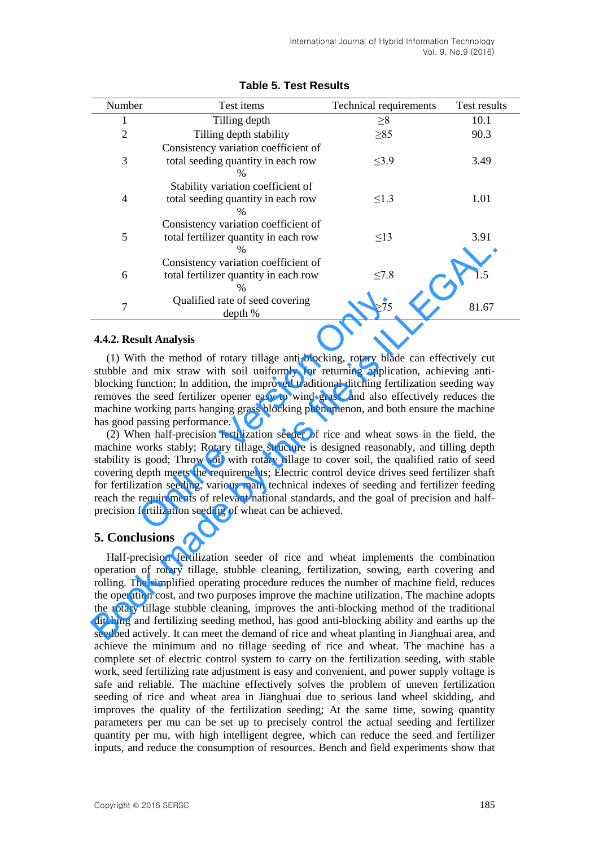| Number         | Test items                            | Technical requirements | Test results |  |
|----------------|---------------------------------------|------------------------|--------------|--|
| 1              | Tilling depth                         | $\geq 8$               | 10.1         |  |
| $\overline{2}$ | Tilling depth stability               | $\geq 85$              | 90.3         |  |
|                | Consistency variation coefficient of  |                        |              |  |
| 3              | total seeding quantity in each row    | $\leq$ 3.9             | 3.49         |  |
|                | $\%$                                  |                        |              |  |
|                | Stability variation coefficient of    |                        |              |  |
| $\overline{4}$ | total seeding quantity in each row    | $\leq$ 1.3             | 1.01         |  |
|                | %                                     |                        |              |  |
|                | Consistency variation coefficient of  |                        |              |  |
| 5              | total fertilizer quantity in each row | $\leq$ 13              | 3.91         |  |
|                | %                                     |                        |              |  |
| 6<br>7         | Consistency variation coefficient of  |                        | 1.5          |  |
|                | total fertilizer quantity in each row | $\leq 7.8$             |              |  |
|                | $\%$                                  |                        |              |  |
|                | Qualified rate of seed covering       | >75                    | 81.67        |  |
|                | depth %                               |                        |              |  |

## **Table 5. Test Results**

### **4.4.2. Result Analysis**

(1) With the method of rotary tillage anti-blocking, rotary blade can effectively cut stubble and mix straw with soil uniformly for returning application, achieving antiblocking function; In addition, the improved traditional ditching fertilization seeding way removes the seed fertilizer opener easy to wind grass, and also effectively reduces the machine working parts hanging grass blocking phenomenon, and both ensure the machine has good passing performance.

(2) When half-precision fertilization seeder of rice and wheat sows in the field, the machine works stably; Rotary tillage structure is designed reasonably, and tilling depth stability is good; Throw soil with rotary tillage to cover soil, the qualified ratio of seed covering depth meets the requirements; Electric control device drives seed fertilizer shaft for fertilization seeding, various main technical indexes of seeding and fertilizer feeding reach the requirements of relevant national standards, and the goal of precision and halfprecision fertilization seeding of wheat can be achieved. Qualified rate of seed covering  $\geq 75$ <br> **Sult Analysis**<br>
th the method of rotary tillage anti-blocking, rotary blad<br>
nd mix straw with soil uniformly for returning applica<br>
function; In addition, the improved traditiona

# **5. Conclusions**

Half-precision fertilization seeder of rice and wheat implements the combination operation of rotary tillage, stubble cleaning, fertilization, sowing, earth covering and rolling. The simplified operating procedure reduces the number of machine field, reduces the operation cost, and two purposes improve the machine utilization. The machine adopts the rotary tillage stubble cleaning, improves the anti-blocking method of the traditional ditching and fertilizing seeding method, has good anti-blocking ability and earths up the seedbed actively. It can meet the demand of rice and wheat planting in Jianghuai area, and achieve the minimum and no tillage seeding of rice and wheat. The machine has a complete set of electric control system to carry on the fertilization seeding, with stable work, seed fertilizing rate adjustment is easy and convenient, and power supply voltage is safe and reliable. The machine effectively solves the problem of uneven fertilization seeding of rice and wheat area in Jianghuai due to serious land wheel skidding, and improves the quality of the fertilization seeding; At the same time, sowing quantity parameters per mu can be set up to precisely control the actual seeding and fertilizer quantity per mu, with high intelligent degree, which can reduce the seed and fertilizer inputs, and reduce the consumption of resources. Bench and field experiments show that For the mathemal of the mathemal of the consistency variable of the consistency and terliber and only the self of steal of seed of the method of rotary tilinge anti-blocking, rotary blade can effectively cut about the met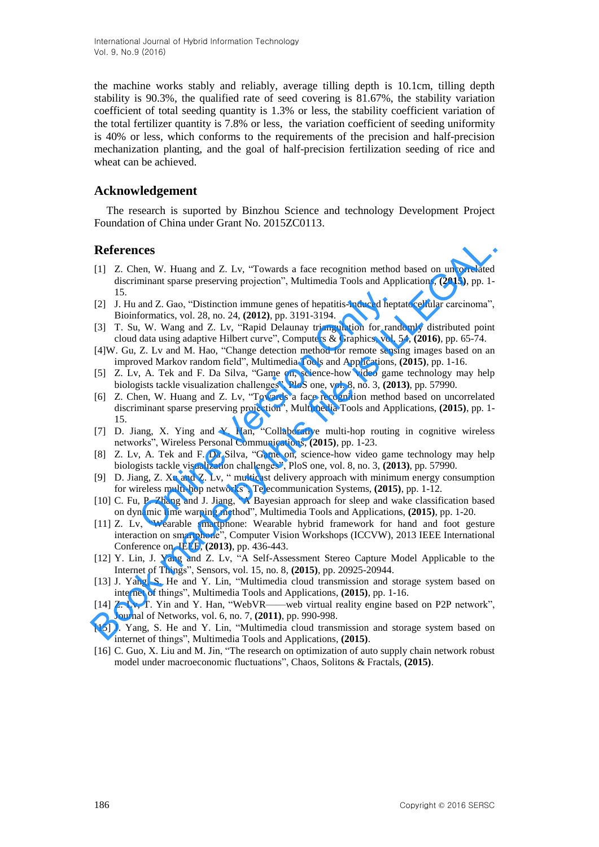International Journal of Hybrid Information Technology Vol. 9, No.9 (2016)

the machine works stably and reliably, average tilling depth is 10.1cm, tilling depth stability is 90.3%, the qualified rate of seed covering is 81.67%, the stability variation coefficient of total seeding quantity is 1.3% or less, the stability coefficient variation of the total fertilizer quantity is 7.8% or less, the variation coefficient of seeding uniformity is 40% or less, which conforms to the requirements of the precision and half-precision mechanization planting, and the goal of half-precision fertilization seeding of rice and wheat can be achieved.

### **Acknowledgement**

The research is suported by Binzhou Science and technology Development Project Foundation of China under Grant No. 2015ZC0113.

### **References**

- [1] Z. Chen, W. Huang and Z. Lv, "Towards a face recognition method based on uncorrelated discriminant sparse preserving projection", Multimedia Tools and Applications, **(2015)**, pp. 1- 15.
- [2] J. Hu and Z. Gao, "Distinction immune genes of hepatitis-induced heptatocellular carcinoma", Bioinformatics, vol. 28, no. 24, **(2012)**, pp. 3191-3194.
- [3] T. Su, W. Wang and Z. Lv, "Rapid Delaunay triangulation for randomly distributed point cloud data using adaptive Hilbert curve", Computers & Graphics, vol. 54, **(2016)**, pp. 65-74.
- [4]W. Gu, Z. Lv and M. Hao, "Change detection method for remote sensing images based on an improved Markov random field", Multimedia Tools and Applications, **(2015)**, pp. 1-16.
- [5] Z. Lv, A. Tek and F. Da Silva, "Game on, science-how video game technology may help biologists tackle visualization challenges", PloS one, vol. 8, no. 3, **(2013)**, pp. 57990.
- [6] Z. Chen, W. Huang and Z. Lv, "Towards a face recognition method based on uncorrelated discriminant sparse preserving projection", Multimedia Tools and Applications, **(2015)**, pp. 1- 15. and Z. Gao, "Distinction immune genes of hepatitis-induced hep<br>formatics, vol. 28, no. 24, (2012), pp. 3191-3194.<br>, W. Wang and Z. Lv, "Rapid Delaunay triangulation for rand<br>data using adaptive Hilbert curve", Computers & **References**<br>
11 Z. Chen, W. Huang and Z. Lv., "Towards a face recognition method based on uncorrelated<br>
distriminant space preserving projection", Multimedia Tools and Applications, (2015), pp. 1-1<br>
15.<br>
15. Huang Z. Goo
- [7] D. Jiang, X. Ying and Y. Han, "Collaborative multi-hop routing in cognitive wireless networks", Wireless Personal Communications, **(2015)**, pp. 1-23.
- [8] Z. Lv, A. Tek and F. Da Silva, "Game on, science-how video game technology may help biologists tackle visualization challenges", PloS one, vol. 8, no. 3, **(2013)**, pp. 57990.
- [9] D. Jiang, Z. Xu and Z. Lv, " multicast delivery approach with minimum energy consumption for wireless multi-hop networks", Telecommunication Systems, **(2015)**, pp. 1-12.
- [10] C. Fu, P. Zhang and J. Jiang, "A Bayesian approach for sleep and wake classification based on dynamic time warping method", Multimedia Tools and Applications, **(2015)**, pp. 1-20.
- [11] Z. Lv, "Wearable smartphone: Wearable hybrid framework for hand and foot gesture interaction on smartphone", Computer Vision Workshops (ICCVW), 2013 IEEE International Conference on. IEEE, **(2013)**, pp. 436-443.
- [12] Y. Lin, J. Yang and Z. Lv, "A Self-Assessment Stereo Capture Model Applicable to the Internet of Things", Sensors, vol. 15, no. 8, **(2015)**, pp. 20925-20944.
- [13] J. Yang, S. He and Y. Lin, "Multimedia cloud transmission and storage system based on internet of things", Multimedia Tools and Applications, **(2015)**, pp. 1-16.
- [14] Z. Lv, T. Yin and Y. Han, "WebVR——web virtual reality engine based on P2P network", Journal of Networks, vol. 6, no. 7, **(2011)**, pp. 990-998.
- [15] J. Yang, S. He and Y. Lin, "Multimedia cloud transmission and storage system based on internet of things", Multimedia Tools and Applications, **(2015)**.
- [16] C. Guo, X. Liu and M. Jin, "The research on optimization of auto supply chain network robust model under macroeconomic fluctuations", Chaos, Solitons & Fractals, **(2015)**.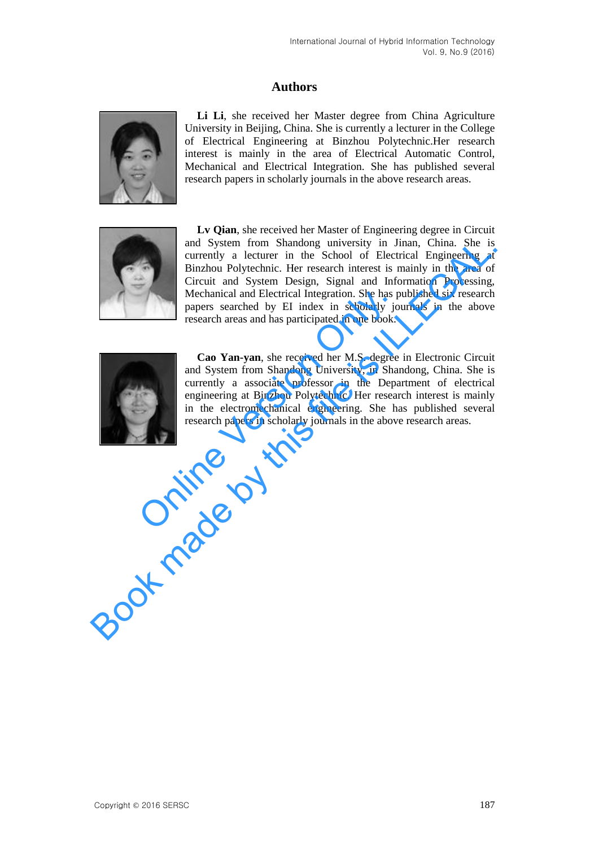# **Authors**



**Li Li**, she received her Master degree from China Agriculture University in Beijing, China. She is currently a lecturer in the College of Electrical Engineering at Binzhou Polytechnic.Her research interest is mainly in the area of Electrical Automatic Control, Mechanical and Electrical Integration. She has published several research papers in scholarly journals in the above research areas.



**Lv Qian**, she received her Master of Engineering degree in [Circuit](javascript:void(0);) and System from Shandong university in Jinan, China. She is currently a lecturer in the School of Electrical Engineering at Binzhou Polytechnic. Her research interest is mainly in the area of Circuit and System Design, Signal and Information Processing, Mechanical and Electrical Integration. She has published six research papers searched by EI index in scholarly journals in the above research areas and has participated in one book. and System from Shandong university in Jinan, China. She is a computed in the school of Electrical Engineering at Binzhou Polytechnic. Her research interest is mainly in the area of Cricuit and System Design, Signal and In



**Cao Yan-yan**, she received her M.S. degree in Electronic Circuit and System from Shandong University, in Shandong, China. She is currently a associate professor in the Department of electrical engineering at Binzhou Polytechnic. Her research interest is mainly in the electromechanical engineering. She has published several research papers in scholarly journals in the above research areas. Mechanical and Electrical Integration. She has papers searched by EI index in scholarly jo<br>research areas and has participated in one book.<br>Cao Yan-yan, she received her M.S. degree<br>and System from Shandong University, in